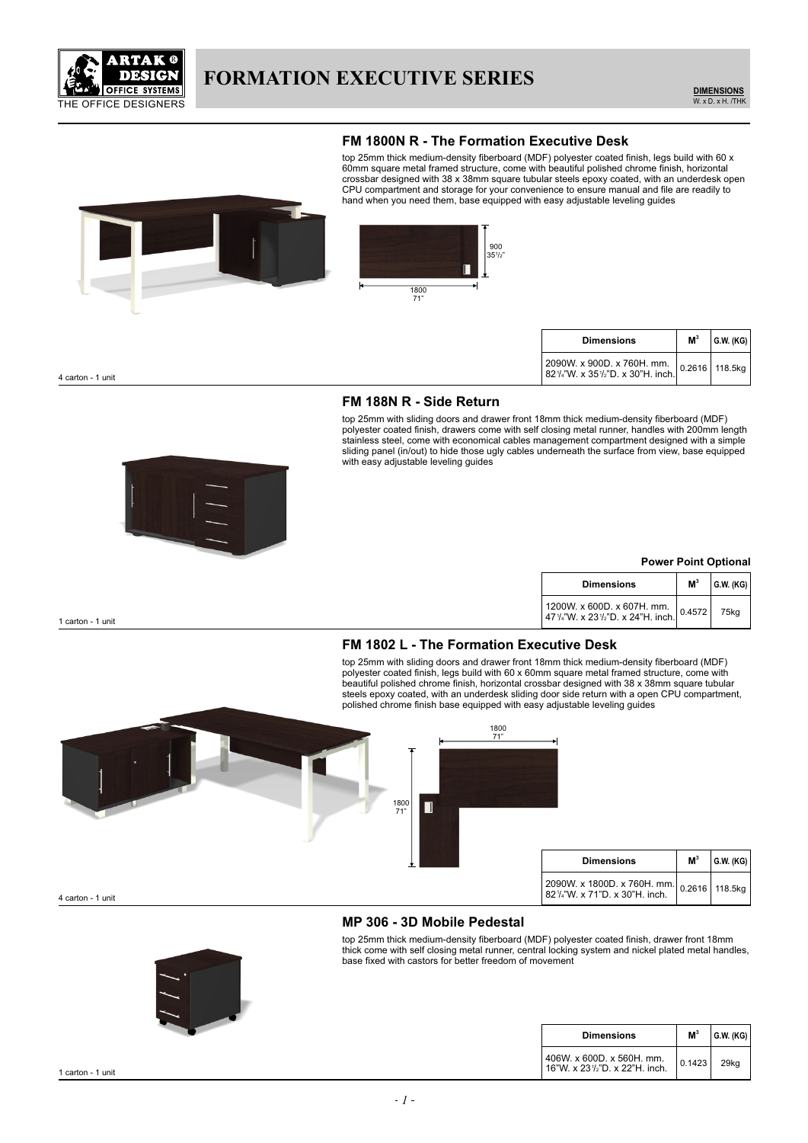

#### **FM 1800N R - The Formation Executive Desk**

top 25mm thick medium-density fiberboard (MDF) polyester coated finish, legs build with 60 x 60mm square metal framed structure, come with beautiful polished chrome finish, horizontal crossbar designed with 38 x 38mm square tubular steels epoxy coated, with an underdesk open CPU compartment and storage for your convenience to ensure manual and file are readily to hand when you need them, base equipped with easy adjustable leveling guides



| <b>Dimensions</b>                                                                                                                        | M <sup>3</sup> | $ $ G.W. (KG) |
|------------------------------------------------------------------------------------------------------------------------------------------|----------------|---------------|
| 2090W. x 900D. x 760H. mm.   0.2616   118.5kg  <br>82 <sup>1</sup> / <sub>4</sub> "W. x 35 <sup>1</sup> / <sub>2</sub> "D. x 30"H. inch. |                |               |

4 carton - 1 unit

#### **FM 188N R - Side Return**

top 25mm with sliding doors and drawer front 18mm thick medium-density fiberboard (MDF) polyester coated finish, drawers come with self closing metal runner, handles with 200mm length stainless steel, come with economical cables management compartment designed with a simple sliding panel (in/out) to hide those ugly cables underneath the surface from view, base equipped with easy adjustable leveling guides



#### **Power Point Optional**

| <b>Dimensions</b>                                                             | M <sup>3</sup> | $ $ G.W. (KG) $ $ |
|-------------------------------------------------------------------------------|----------------|-------------------|
| 1200W. x 600D. x 607H. mm. $ 0.4572 $<br>47%"W. x 23%"D. x 24"H. inch. 0.4572 |                | 75ka              |

1 carton - 1 unit

## **FM 1802 L - The Formation Executive Desk**

top 25mm with sliding doors and drawer front 18mm thick medium-density fiberboard (MDF) polyester coated finish, legs build with 60 x 60mm square metal framed structure, come with beautiful polished chrome finish, horizontal crossbar designed with 38 x 38mm square tubular steels epoxy coated, with an underdesk sliding door side return with a open CPU compartment, polished chrome finish base equipped with easy adjustable leveling guides



4 carton - 1 unit

## **MP 306 - 3D Mobile Pedestal**

top 25mm thick medium-density fiberboard (MDF) polyester coated finish, drawer front 18mm thick come with self closing metal runner, central locking system and nickel plated metal handles, base fixed with castors for better freedom of movement

| <b>Dimensions</b>                                           | M <sup>3</sup> | G.W. (KG) |
|-------------------------------------------------------------|----------------|-----------|
| 406W. x 600D. x 560H. mm.<br>16"W. x 231/2"D. x 22"H. inch. | 0.1423         | 29ka      |